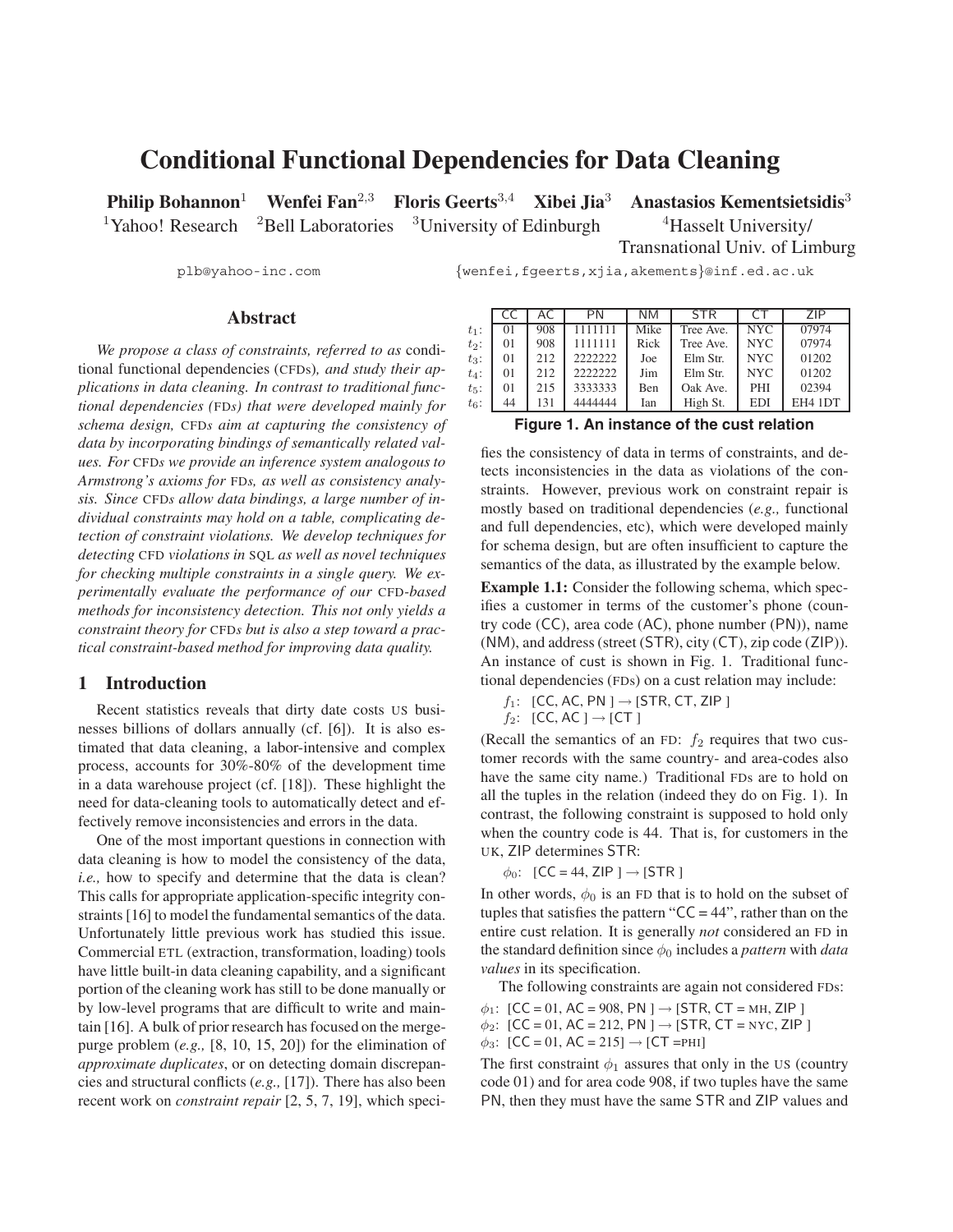# **Conditional Functional Dependencies for Data Cleaning**

**Philip Bohannon**<sup>1</sup> **Wenfei Fan**<sup>2</sup>,<sup>3</sup> **Floris Geerts**<sup>3</sup>,<sup>4</sup> **Xibei Jia**<sup>3</sup> **Anastasios Kementsietsidis**<sup>3</sup>

<sup>1</sup>Yahoo! Research <sup>2</sup>Bell Laboratories <sup>3</sup>University of Edinburgh <sup>4</sup>Hasselt University/

Transnational Univ. of Limburg

plb@yahoo-inc.com {wenfei,fgeerts,xjia,akements}@inf.ed.ac.uk

# **Abstract**

*We propose a class of constraints, referred to as* conditional functional dependencies (CFDs)*, and study their applications in data cleaning. In contrast to traditional functional dependencies (*FD*s) that were developed mainly for schema design,* CFD*s aim at capturing the consistency of data by incorporating bindings of semantically related values. For* CFD*s we provide an inference system analogous to Armstrong's axioms for* FD*s, as well as consistency analysis. Since* CFD*s allow data bindings, a large number of individual constraints may hold on a table, complicating detection of constraint violations. We develop techniques for detecting* CFD *violations in* SQL *as well as novel techniques for checking multiple constraints in a single query. We experimentally evaluate the performance of our* CFD*-based methods for inconsistency detection. This not only yields a constraint theory for* CFD*s but is also a step toward a practical constraint-based method for improving data quality.*

# **1 Introduction**

Recent statistics reveals that dirty date costs US businesses billions of dollars annually (cf. [6]). It is also estimated that data cleaning, a labor-intensive and complex process, accounts for 30%-80% of the development time in a data warehouse project (cf. [18]). These highlight the need for data-cleaning tools to automatically detect and effectively remove inconsistencies and errors in the data.

One of the most important questions in connection with data cleaning is how to model the consistency of the data, *i.e.,* how to specify and determine that the data is clean? This calls for appropriate application-specific integrity constraints [16] to model the fundamental semantics of the data. Unfortunately little previous work has studied this issue. Commercial ETL (extraction, transformation, loading) tools have little built-in data cleaning capability, and a significant portion of the cleaning work has still to be done manually or by low-level programs that are difficult to write and maintain [16]. A bulk of prior research has focused on the mergepurge problem (*e.g.,* [8, 10, 15, 20]) for the elimination of *approximate duplicates*, or on detecting domain discrepancies and structural conflicts (*e.g.,* [17]). There has also been recent work on *constraint repair* [2, 5, 7, 19], which speci-

|           |         |     | PN      | NΜ   | <b>STR</b> |            | 7IP.    |
|-----------|---------|-----|---------|------|------------|------------|---------|
| $t_1$ :   | $_{01}$ | 908 |         | Mike | Tree Ave.  | <b>NYC</b> | 07974   |
| $t_2$ :   | $_{01}$ | 908 | 1111111 | Rick | Tree Ave.  | NYC.       | 07974   |
| $t_3$ :   | 01      | 212 | 2222222 | Joe  | Elm Str.   | <b>NYC</b> | 01202   |
| $t_4$ :   | 01      | 212 | 2222222 | Jim  | Elm Str.   | NYC.       | 01202   |
| $t_{5}$ : | $_{01}$ | 215 | 3333333 | Ben  | Oak Ave.   | <b>PHI</b> | 02394   |
| $t_6$ :   | 44      | 131 | 4444444 | Ian  | High St.   | <b>EDI</b> | EH4 1DT |
|           |         |     |         |      | - -        |            |         |

**Figure 1. An instance of the cust relation**

fies the consistency of data in terms of constraints, and detects inconsistencies in the data as violations of the constraints. However, previous work on constraint repair is mostly based on traditional dependencies (*e.g.,* functional and full dependencies, etc), which were developed mainly for schema design, but are often insufficient to capture the semantics of the data, as illustrated by the example below.

**Example 1.1:** Consider the following schema, which specifies a customer in terms of the customer's phone (country code (CC), area code (AC), phone number (PN)), name (NM), and address (street (STR), city (CT), zip code (ZIP)). An instance of cust is shown in Fig. 1. Traditional functional dependencies (FDs) on a cust relation may include:

 $f_1$ : [CC, AC, PN ]  $\rightarrow$  [STR, CT, ZIP ]

 $f_2$ : [CC, AC ]  $\rightarrow$  [CT ]

(Recall the semantics of an FD:  $f_2$  requires that two customer records with the same country- and area-codes also have the same city name.) Traditional FDs are to hold on all the tuples in the relation (indeed they do on Fig. 1). In contrast, the following constraint is supposed to hold only when the country code is 44. That is, for customers in the UK, ZIP determines STR:

 $\phi_0$ : [CC = 44, ZIP ]  $\rightarrow$  [STR ]

In other words,  $\phi_0$  is an FD that is to hold on the subset of tuples that satisfies the pattern " $CC = 44$ ", rather than on the entire cust relation. It is generally *not* considered an FD in the standard definition since  $\phi_0$  includes a *pattern* with *data values* in its specification.

The following constraints are again not considered FDs:

 $\phi_1$ : [CC = 01, AC = 908, PN ]  $\rightarrow$  [STR, CT = MH, ZIP ]  $\phi_2$ : [CC = 01, AC = 212, PN ]  $\rightarrow$  [STR, CT = NYC, ZIP ]  $\phi_3$ : [CC = 01, AC = 215]  $\rightarrow$  [CT = PHI]

The first constraint  $\phi_1$  assures that only in the US (country code 01) and for area code 908, if two tuples have the same PN, then they must have the same STR and ZIP values and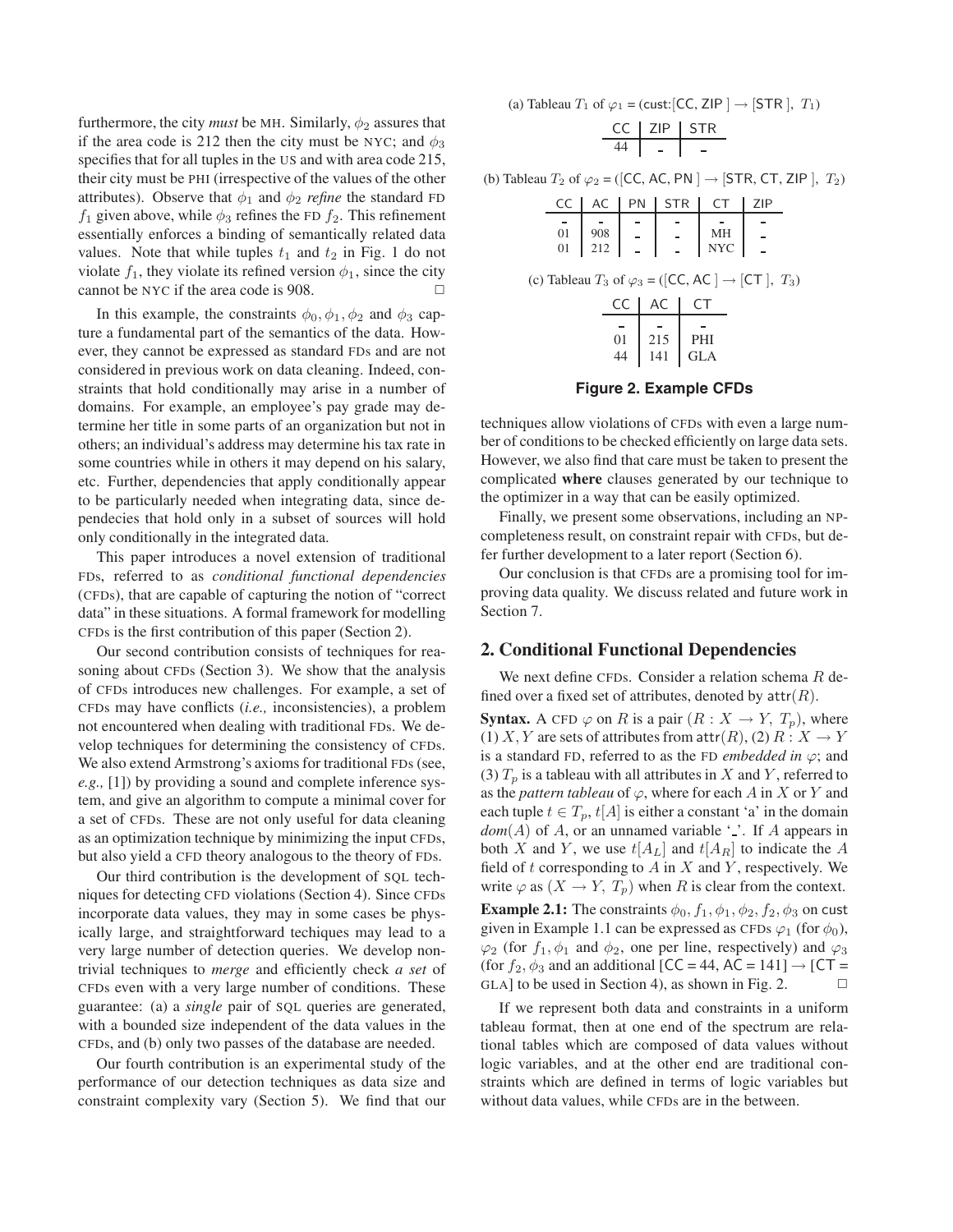furthermore, the city *must* be MH. Similarly,  $\phi_2$  assures that if the area code is 212 then the city must be NYC; and  $\phi_3$ specifies that for all tuples in the US and with area code 215, their city must be PHI (irrespective of the values of the other attributes). Observe that  $\phi_1$  and  $\phi_2$  *refine* the standard FD  $f_1$  given above, while  $\phi_3$  refines the FD  $f_2$ . This refinement essentially enforces a binding of semantically related data values. Note that while tuples  $t_1$  and  $t_2$  in Fig. 1 do not violate  $f_1$ , they violate its refined version  $\phi_1$ , since the city cannot be NYC if the area code is 908.  $\Box$ 

In this example, the constraints  $\phi_0$ ,  $\phi_1$ ,  $\phi_2$  and  $\phi_3$  capture a fundamental part of the semantics of the data. However, they cannot be expressed as standard FDs and are not considered in previous work on data cleaning. Indeed, constraints that hold conditionally may arise in a number of domains. For example, an employee's pay grade may determine her title in some parts of an organization but not in others; an individual's address may determine his tax rate in some countries while in others it may depend on his salary, etc. Further, dependencies that apply conditionally appear to be particularly needed when integrating data, since dependecies that hold only in a subset of sources will hold only conditionally in the integrated data.

This paper introduces a novel extension of traditional FDs, referred to as *conditional functional dependencies* (CFDs), that are capable of capturing the notion of "correct data" in these situations. A formal framework for modelling CFDs is the first contribution of this paper (Section 2).

Our second contribution consists of techniques for reasoning about CFDs (Section 3). We show that the analysis of CFDs introduces new challenges. For example, a set of CFDs may have conflicts (*i.e.,* inconsistencies), a problem not encountered when dealing with traditional FDs. We develop techniques for determining the consistency of CFDs. We also extend Armstrong's axioms for traditional FDs (see, *e.g.,* [1]) by providing a sound and complete inference system, and give an algorithm to compute a minimal cover for a set of CFDs. These are not only useful for data cleaning as an optimization technique by minimizing the input CFDs, but also yield a CFD theory analogous to the theory of FDs.

Our third contribution is the development of SQL techniques for detecting CFD violations (Section 4). Since CFDs incorporate data values, they may in some cases be physically large, and straightforward techiques may lead to a very large number of detection queries. We develop nontrivial techniques to *merge* and efficiently check *a set* of CFDs even with a very large number of conditions. These guarantee: (a) a *single* pair of SQL queries are generated, with a bounded size independent of the data values in the CFDs, and (b) only two passes of the database are needed.

Our fourth contribution is an experimental study of the performance of our detection techniques as data size and constraint complexity vary (Section 5). We find that our (a) Tableau  $T_1$  of  $\varphi_1$  = (cust: [CC, ZIP ]  $\rightarrow$  [STR ],  $T_1$ )

$$
\begin{array}{c|c|c}\n\text{CC} & \text{ZIP} & \text{STR} \\
\hline\n44 & - & -\n\end{array}
$$

(b) Tableau  $T_2$  of  $\varphi_2 = ([CC, AC, PN] \rightarrow [STR, CT, ZIP], T_2)$ 

| CC                                                                  | AC PN | STR <sub>1</sub>                                                                            | l CT                                                                                                                                         | ZIP |  |
|---------------------------------------------------------------------|-------|---------------------------------------------------------------------------------------------|----------------------------------------------------------------------------------------------------------------------------------------------|-----|--|
|                                                                     |       |                                                                                             |                                                                                                                                              |     |  |
|                                                                     |       |                                                                                             | $\begin{array}{ c c c c c c c c } \hline 01 & 908 & - & - & \text{MH} & - \\ \hline 01 & 212 & - & - & \text{NYC} & - \\ \hline \end{array}$ |     |  |
|                                                                     |       |                                                                                             |                                                                                                                                              |     |  |
| (c) Tableau $T_3$ of $\varphi_3 = ([CC, AC] \rightarrow [CT], T_3)$ |       | CC AC CT<br>$\begin{array}{c c} 01 & 215 & \text{PHI} \\ 44 & 141 & \text{GLA} \end{array}$ |                                                                                                                                              |     |  |
|                                                                     |       |                                                                                             |                                                                                                                                              |     |  |

**Figure 2. Example CFDs**

techniques allow violations of CFDs with even a large number of conditions to be checked efficiently on large data sets. However, we also find that care must be taken to present the complicated **where** clauses generated by our technique to the optimizer in a way that can be easily optimized.

Finally, we present some observations, including an NPcompleteness result, on constraint repair with CFDs, but defer further development to a later report (Section 6).

Our conclusion is that CFDs are a promising tool for improving data quality. We discuss related and future work in Section 7.

# **2. Conditional Functional Dependencies**

We next define CFDs. Consider a relation schema R defined over a fixed set of attributes, denoted by  $attr(R)$ .

**Syntax.** A CFD  $\varphi$  on R is a pair  $(R : X \to Y, T_p)$ , where (1) X, Y are sets of attributes from  $\text{attr}(R)$ , (2)  $R: X \to Y$ is a standard FD, referred to as the FD *embedded in*  $\varphi$ ; and (3)  $T_p$  is a tableau with all attributes in X and Y, referred to as the *pattern tableau* of  $\varphi$ , where for each A in X or Y and each tuple  $t \in T_p$ ,  $t[A]$  is either a constant 'a' in the domain  $dom(A)$  of A, or an unnamed variable  $\cdot$ . If A appears in both X and Y, we use  $t[A_L]$  and  $t[A_R]$  to indicate the A field of  $t$  corresponding to  $A$  in  $X$  and  $Y$ , respectively. We write  $\varphi$  as  $(X \to Y, T_p)$  when R is clear from the context. **Example 2.1:** The constraints  $\phi_0$ ,  $f_1$ ,  $\phi_1$ ,  $\phi_2$ ,  $f_2$ ,  $\phi_3$  on cust

given in Example 1.1 can be expressed as CFDs  $\varphi_1$  (for  $\phi_0$ ),  $\varphi_2$  (for  $f_1, \phi_1$  and  $\phi_2$ , one per line, respectively) and  $\varphi_3$ (for  $f_2$ ,  $\phi_3$  and an additional [CC = 44, AC = 141]  $\rightarrow$  [CT = GLA] to be used in Section 4), as shown in Fig. 2.

If we represent both data and constraints in a uniform tableau format, then at one end of the spectrum are relational tables which are composed of data values without logic variables, and at the other end are traditional constraints which are defined in terms of logic variables but without data values, while CFDs are in the between.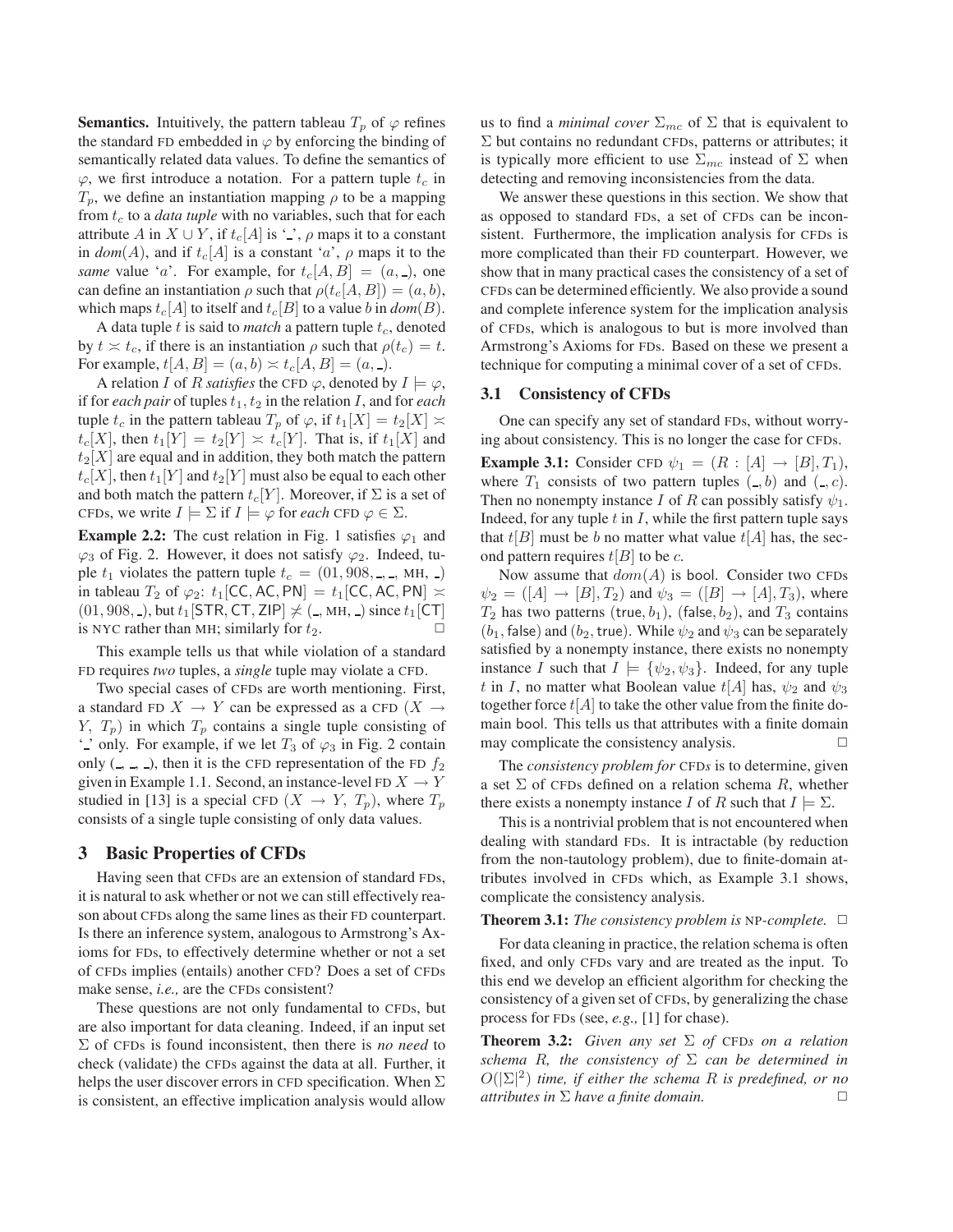**Semantics.** Intuitively, the pattern tableau  $T_p$  of  $\varphi$  refines the standard FD embedded in  $\varphi$  by enforcing the binding of semantically related data values. To define the semantics of  $\varphi$ , we first introduce a notation. For a pattern tuple  $t_c$  in  $T_p$ , we define an instantiation mapping  $\rho$  to be a mapping from  $t_c$  to a *data tuple* with no variables, such that for each attribute A in  $X \cup Y$ , if  $t_c[A]$  is '\_',  $\rho$  maps it to a constant in  $dom(A)$ , and if  $t_c[A]$  is a constant 'a',  $\rho$  maps it to the *same* value '*a*'. For example, for  $t_c[A, B] = (a, 0)$ , one can define an instantiation  $\rho$  such that  $\rho(t_c[A, B]) = (a, b)$ , which maps  $t_c[A]$  to itself and  $t_c[B]$  to a value b in  $dom(B)$ .

A data tuple t is said to *match* a pattern tuple  $t_c$ , denoted by  $t \approx t_c$ , if there is an instantiation  $\rho$  such that  $\rho(t_c) = t$ . For example,  $t[A, B] = (a, b) \approx t_c[A, B] = (a, \_).$ 

A relation *I* of *R satisfies* the CFD  $\varphi$ , denoted by  $I \models \varphi$ , if for *each pair* of tuples  $t_1, t_2$  in the relation  $I$ , and for *each* tuple  $t_c$  in the pattern tableau  $T_p$  of  $\varphi$ , if  $t_1[X] = t_2[X] \asymp$  $t_c[X]$ , then  $t_1[Y] = t_2[Y] \approx t_c[Y]$ . That is, if  $t_1[X]$  and  $t_2[X]$  are equal and in addition, they both match the pattern  $t_c[X]$ , then  $t_1[Y]$  and  $t_2[Y]$  must also be equal to each other and both match the pattern  $t_c[Y]$ . Moreover, if  $\Sigma$  is a set of CFDs, we write  $I \models \Sigma$  if  $I \models \varphi$  for *each* CFD  $\varphi \in \Sigma$ .

**Example 2.2:** The cust relation in Fig. 1 satisfies  $\varphi_1$  and  $\varphi_3$  of Fig. 2. However, it does not satisfy  $\varphi_2$ . Indeed, tuple  $t_1$  violates the pattern tuple  $t_c = (01, 908, \dots, MH, \dots)$ in tableau  $T_2$  of  $\varphi_2$ :  $t_1$ [CC, AC, PN] =  $t_1$ [CC, AC, PN]  $\asymp$  $(01, 908, \_)$ , but  $t_1$ [STR, CT, ZIP]  $\nless$  ( $\_$ , MH,  $\_$ ) since  $t_1$ [CT] is NYC rather than MH; similarly for  $t_2$ is NYC rather than MH; similarly for  $t_2$ .

This example tells us that while violation of a standard FD requires *two* tuples, a *single* tuple may violate a CFD.

Two special cases of CFDs are worth mentioning. First, a standard FD  $X \to Y$  can be expressed as a CFD  $(X \to Y)$  $Y, T_p$ ) in which  $T_p$  contains a single tuple consisting of ' ' only. For example, if we let  $T_3$  of  $\varphi_3$  in Fig. 2 contain only  $($ ,  $\Box$ ,  $\Box$ ), then it is the CFD representation of the FD  $f_2$ given in Example 1.1. Second, an instance-level FD  $X \to Y$ studied in [13] is a special CFD  $(X \to Y, T_p)$ , where  $T_p$ consists of a single tuple consisting of only data values.

# **3 Basic Properties of CFDs**

Having seen that CFDs are an extension of standard FDs, it is natural to ask whether or not we can still effectively reason about CFDs along the same lines as their FD counterpart. Is there an inference system, analogous to Armstrong's Axioms for FDs, to effectively determine whether or not a set of CFDs implies (entails) another CFD? Does a set of CFDs make sense, *i.e.,* are the CFDs consistent?

These questions are not only fundamental to CFDs, but are also important for data cleaning. Indeed, if an input set Σ of CFDs is found inconsistent, then there is *no need* to check (validate) the CFDs against the data at all. Further, it helps the user discover errors in CFD specification. When  $\Sigma$ is consistent, an effective implication analysis would allow

us to find a *minimal cover*  $\Sigma_{mc}$  of  $\Sigma$  that is equivalent to Σ but contains no redundant CFDs, patterns or attributes; it is typically more efficient to use  $\Sigma_{mc}$  instead of  $\Sigma$  when detecting and removing inconsistencies from the data.

We answer these questions in this section. We show that as opposed to standard FDs, a set of CFDs can be inconsistent. Furthermore, the implication analysis for CFDs is more complicated than their FD counterpart. However, we show that in many practical cases the consistency of a set of CFDs can be determined efficiently. We also provide a sound and complete inference system for the implication analysis of CFDs, which is analogous to but is more involved than Armstrong's Axioms for FDs. Based on these we present a technique for computing a minimal cover of a set of CFDs.

## **3.1 Consistency of CFDs**

One can specify any set of standard FDs, without worrying about consistency. This is no longer the case for CFDs.

**Example 3.1:** Consider CFD  $\psi_1 = (R : [A] \rightarrow [B], T_1)$ , where  $T_1$  consists of two pattern tuples  $( \_ , b )$  and  $( \_ , c )$ . Then no nonempty instance I of R can possibly satisfy  $\psi_1$ . Indeed, for any tuple  $t$  in  $I$ , while the first pattern tuple says that  $t[B]$  must be b no matter what value  $t[A]$  has, the second pattern requires  $t[B]$  to be c.

Now assume that  $dom(A)$  is bool. Consider two CFDs  $\psi_2 = ([A] \rightarrow [B], T_2)$  and  $\psi_3 = ([B] \rightarrow [A], T_3)$ , where  $T_2$  has two patterns (true,  $b_1$ ), (false,  $b_2$ ), and  $T_3$  contains ( $b_1$ , false) and ( $b_2$ , true). While  $\psi_2$  and  $\psi_3$  can be separately satisfied by a nonempty instance, there exists no nonempty instance I such that  $I \models {\psi_2, \psi_3}$ . Indeed, for any tuple t in I, no matter what Boolean value  $t[A]$  has,  $\psi_2$  and  $\psi_3$ together force  $t[A]$  to take the other value from the finite domain bool. This tells us that attributes with a finite domain may complicate the consistency analysis.  $\Box$ may complicate the consistency analysis.

The *consistency problem for* CFD*s* is to determine, given a set  $\Sigma$  of CFDs defined on a relation schema  $R$ , whether there exists a nonempty instance I of R such that  $I \models \Sigma$ .

This is a nontrivial problem that is not encountered when dealing with standard FDs. It is intractable (by reduction from the non-tautology problem), due to finite-domain attributes involved in CFDs which, as Example 3.1 shows, complicate the consistency analysis.

**Theorem 3.1:** *The consistency problem is* NP-*complete.* □

For data cleaning in practice, the relation schema is often fixed, and only CFDs vary and are treated as the input. To this end we develop an efficient algorithm for checking the consistency of a given set of CFDs, by generalizing the chase process for FDs (see, *e.g.,* [1] for chase).

**Theorem 3.2:** *Given any set* Σ *of* CFD*s on a relation schema*  $R$ *, the consistency of*  $\Sigma$  *can be determined in* O(|Σ| <sup>2</sup>) *time, if either the schema* R *is predefined, or no attributes in*  $\Sigma$  *have a finite domain.*  $\square$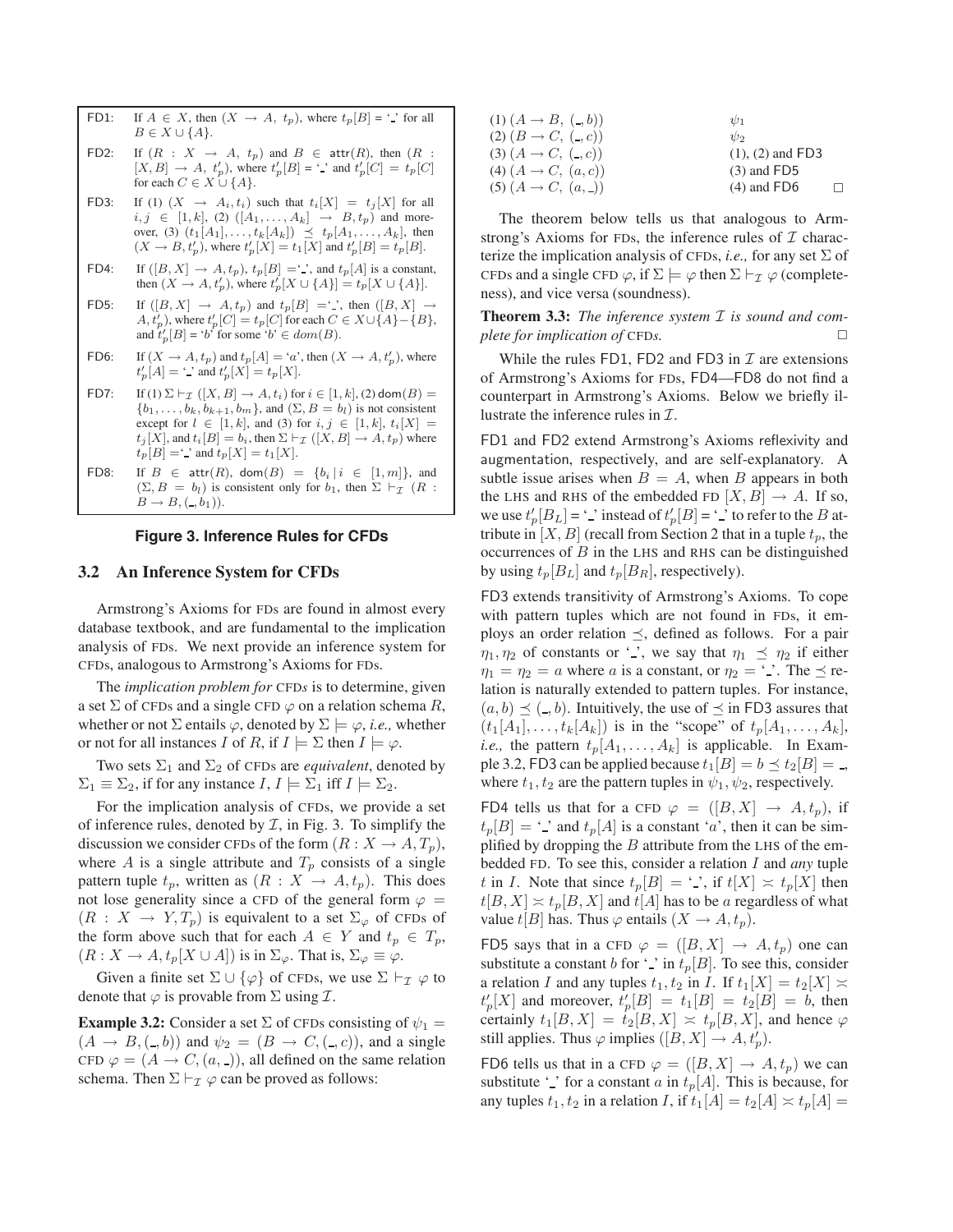- FD1: If  $A \in X$ , then  $(X \to A, t_p)$ , where  $t_p[B] = '$  for all  $B \in X \cup \{A\}.$
- FD2: If  $(R : X \rightarrow A, t_p)$  and  $B \in \text{attr}(R)$ , then  $(R : X \rightarrow A, t_p)$  $[X, B] \rightarrow A$ ,  $t'_p$ , where  $t'_p[B] = '$  and  $t'_p[C] = t_p[C]$ for each  $C \in X \cup \{A\}.$
- FD3: If (1)  $(X \rightarrow A_i, t_i)$  such that  $t_i[X] = t_j[X]$  for all  $i, j \in [1, k], (2) ([A_1, \ldots, A_k] \rightarrow B, t_p)$  and moreover, (3)  $(t_1[A_1],...,t_k[A_k]) \preceq t_p[A_1,...,A_k]$ , then  $(X \to B, t'_p)$ , where  $t'_p[X] = t_1[X]$  and  $t'_p[B] = t_p[B]$ .
- FD4: If  $([B, X] \rightarrow A, t_p)$ ,  $t_p[B] = '$ , and  $t_p[A]$  is a constant, then  $(X \to A, t_p')$ , where  $t_p'[X \cup \{A\}] = t_p[X \cup \{A\}]$ .
- FD5: If  $([B, X] \rightarrow A, t_p)$  and  $t_p[B] = ' \cdot ]$ , then  $([B, X] \rightarrow$  $(A, t'_p)$ , where  $t'_p[C] = t_p[C]$  for each  $C \in X \cup \{A\} - \{B\}$ , and  $t'_p[B] = 'b'$  for some ' $b' \in dom(B)$ .
- FD6: If  $(X \to A, t_p)$  and  $t_p[A] = 'a'$ , then  $(X \to A, t'_p)$ , where  $t'_{p}[A] = '$  and  $t'_{p}[X] = t_{p}[X]$ .
- FD7: If (1)  $\Sigma \vdash_{\mathcal{I}} ([X, B] \rightarrow A, t_i)$  for  $i \in [1, k]$ , (2) dom $(B) =$  $\{b_1,\ldots,b_k,b_{k+1},b_m\}$ , and  $(\Sigma, B = b_l)$  is not consistent except for  $l \in [1, k]$ , and (3) for  $i, j \in [1, k]$ ,  $t_i[X] =$  $t_j[X]$ , and  $t_i[B] = b_i$ , then  $\Sigma \vdash_{\mathcal{I}} ([X, B] \to A, t_p)$  where  $t_p[B] = '$  and  $t_p[X] = t_1[X]$ .
- FD8: If  $B \in \text{attr}(R)$ ,  $\text{dom}(B) = \{b_i | i \in [1, m]\}$ , and  $(\Sigma, B = b_l)$  is consistent only for  $b_1$ , then  $\Sigma \vdash_{\mathcal{I}} (R :$  $B \to B, (-, b_1)).$

#### **Figure 3. Inference Rules for CFDs**

## **3.2 An Inference System for CFDs**

Armstrong's Axioms for FDs are found in almost every database textbook, and are fundamental to the implication analysis of FDs. We next provide an inference system for CFDs, analogous to Armstrong's Axioms for FDs.

The *implication problem for* CFD*s* is to determine, given a set  $\Sigma$  of CFDs and a single CFD  $\varphi$  on a relation schema R, whether or not  $\Sigma$  entails  $\varphi$ , denoted by  $\Sigma \models \varphi$ , *i.e.*, whether or not for all instances I of R, if  $I \models \Sigma$  then  $I \models \varphi$ .

Two sets  $\Sigma_1$  and  $\Sigma_2$  of CFDs are *equivalent*, denoted by  $\Sigma_1 \equiv \Sigma_2$ , if for any instance  $I, I \models \Sigma_1$  iff  $I \models \Sigma_2$ .

For the implication analysis of CFDs, we provide a set of inference rules, denoted by  $\mathcal{I}$ , in Fig. 3. To simplify the discussion we consider CFDs of the form  $(R : X \to A, T_p)$ , where A is a single attribute and  $T_p$  consists of a single pattern tuple  $t_p$ , written as  $(R : X \rightarrow A, t_p)$ . This does not lose generality since a CFD of the general form  $\varphi =$  $(R : X \rightarrow Y, T_p)$  is equivalent to a set  $\Sigma_{\varphi}$  of CFDs of the form above such that for each  $A \in Y$  and  $t_p \in T_p$ ,  $(R: X \to A, t_p[X \cup A])$  is in  $\Sigma_{\varphi}$ . That is,  $\Sigma_{\varphi} \equiv \varphi$ .

Given a finite set  $\Sigma \cup {\varphi}$  of CFDs, we use  $\Sigma \vdash_{\mathcal{I}} \varphi$  to denote that  $\varphi$  is provable from  $\Sigma$  using  $\mathcal{I}$ .

**Example 3.2:** Consider a set  $\Sigma$  of CFDs consisting of  $\psi_1$  =  $(A \rightarrow B, (-, b))$  and  $\psi_2 = (B \rightarrow C, (-, c))$ , and a single CFD  $\varphi = (A \rightarrow C, (a, .))$ , all defined on the same relation schema. Then  $\Sigma \vdash_{\mathcal{I}} \varphi$  can be proved as follows:

| $(1) (A \rightarrow B, (-, b))$ | $\psi_1$              |   |
|---------------------------------|-----------------------|---|
| $(2)$ $(B \to C, (-, c))$       | $\psi_2$              |   |
| $(3) (A \rightarrow C, (-, c))$ | $(1)$ , $(2)$ and FD3 |   |
| $(4) (A \to C, (a, c))$         | $(3)$ and FD5         |   |
| $(5) (A \rightarrow C, (a,$     | $(4)$ and FD6         | п |

The theorem below tells us that analogous to Armstrong's Axioms for FDs, the inference rules of  $I$  characterize the implication analysis of CFDs, *i.e.,* for any set Σ of CFDs and a single CFD  $\varphi$ , if  $\Sigma \models \varphi$  then  $\Sigma \vdash_{\mathcal{I}} \varphi$  (completeness), and vice versa (soundness).

**Theorem 3.3:** *The inference system* I *is sound and complete for implication of* CFD*s*.

While the rules FD1, FD2 and FD3 in  $\mathcal I$  are extensions of Armstrong's Axioms for FDs, FD4—FD8 do not find a counterpart in Armstrong's Axioms. Below we briefly illustrate the inference rules in  $\mathcal{I}$ .

FD1 and FD2 extend Armstrong's Axioms reflexivity and augmentation, respectively, and are self-explanatory. A subtle issue arises when  $B = A$ , when B appears in both the LHS and RHS of the embedded FD  $[X, B] \rightarrow A$ . If so, we use  $t'_p[B_L] = '$  instead of  $t'_p[B] = '$  is to refer to the B attribute in  $[X, B]$  (recall from Section 2 that in a tuple  $t_p$ , the occurrences of  $B$  in the LHS and RHS can be distinguished by using  $t_p[B_L]$  and  $t_p[B_R]$ , respectively).

FD3 extends transitivity of Armstrong's Axioms. To cope with pattern tuples which are not found in FDs, it employs an order relation  $\preceq$ , defined as follows. For a pair  $\eta_1, \eta_2$  of constants or '-', we say that  $\eta_1 \preceq \eta_2$  if either  $\eta_1 = \eta_2 = a$  where a is a constant, or  $\eta_2 = \cdot$ . The  $\preceq$  relation is naturally extended to pattern tuples. For instance,  $(a, b) \preceq (-, b)$ . Intuitively, the use of  $\preceq$  in FD3 assures that  $(t_1[A_1],\ldots,t_k[A_k])$  is in the "scope" of  $t_p[A_1,\ldots,A_k],$ *i.e.*, the pattern  $t_p[A_1,\ldots,A_k]$  is applicable. In Example 3.2, FD3 can be applied because  $t_1[B] = b \preceq t_2[B] =$ , where  $t_1, t_2$  are the pattern tuples in  $\psi_1, \psi_2$ , respectively.

FD4 tells us that for a CFD  $\varphi = ([B, X] \rightarrow A, t_p)$ , if  $t_p[B] = \mathcal{L}$  and  $t_p[A]$  is a constant 'a', then it can be simplified by dropping the  $B$  attribute from the LHS of the embedded FD. To see this, consider a relation I and *any* tuple t in I. Note that since  $t_p[B] = \prime$ , if  $t[X] \asymp t_p[X]$  then  $t[B,X] \approx t_p[B,X]$  and  $t[A]$  has to be a regardless of what value  $t[B]$  has. Thus  $\varphi$  entails  $(X \to A, t_p)$ .

FD5 says that in a CFD  $\varphi = ([B, X] \rightarrow A, t_p)$  one can substitute a constant b for '.' in  $t_p[B]$ . To see this, consider a relation I and any tuples  $t_1, t_2$  in I. If  $t_1[X] = t_2[X] \approx$  $t'_p[X]$  and moreover,  $t'_p[B] = t_1[B] = t_2[B] = b$ , then certainly  $t_1[B,X] = t_2[B,X] \approx t_p[B,X]$ , and hence  $\varphi$ still applies. Thus  $\varphi$  implies  $([B, X] \to A, t_p^{\prime})$ .

FD6 tells us that in a CFD  $\varphi = ([B, X] \rightarrow A, t_p)$  we can substitute '.' for a constant a in  $t_p[A]$ . This is because, for any tuples  $t_1, t_2$  in a relation I, if  $t_1[A] = t_2[A] \times t_p[A] =$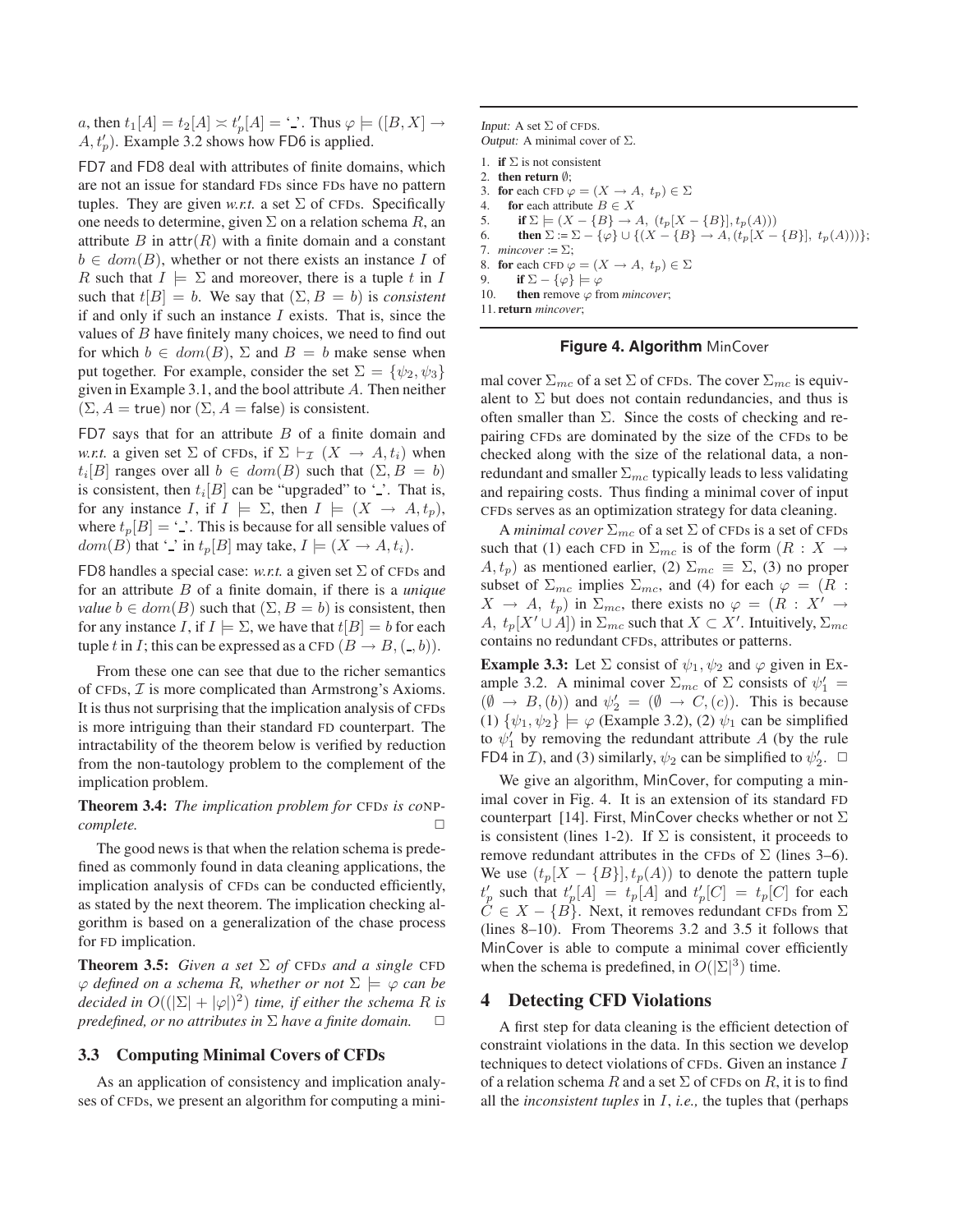*a*, then  $t_1[A] = t_2[A] \times t'_p[A] = '$ . Thus  $\varphi \models ([B, X] \rightarrow$  $A, t'_p$ ). Example 3.2 shows how FD6 is applied.

FD7 and FD8 deal with attributes of finite domains, which are not an issue for standard FDs since FDs have no pattern tuples. They are given *w.r.t.* a set  $\Sigma$  of CFDs. Specifically one needs to determine, given  $\Sigma$  on a relation schema R, an attribute B in  $\text{attr}(R)$  with a finite domain and a constant  $b \in dom(B)$ , whether or not there exists an instance I of R such that  $I \models \Sigma$  and moreover, there is a tuple t in I such that  $t[B] = b$ . We say that  $(\Sigma, B = b)$  is *consistent* if and only if such an instance  $I$  exists. That is, since the values of  $B$  have finitely many choices, we need to find out for which  $b \in dom(B)$ ,  $\Sigma$  and  $B = b$  make sense when put together. For example, consider the set  $\Sigma = {\psi_2, \psi_3}$ given in Example 3.1, and the bool attribute <sup>A</sup>. Then neither  $(\Sigma, A = \text{true})$  nor  $(\Sigma, A = \text{false})$  is consistent.

FD7 says that for an attribute  $B$  of a finite domain and *w.r.t.* a given set  $\Sigma$  of CFDs, if  $\Sigma \vdash_{\mathcal{I}} (X \rightarrow A, t_i)$  when  $t_i[B]$  ranges over all  $b \in dom(B)$  such that  $(\Sigma, B = b)$ is consistent, then  $t_i[B]$  can be "upgraded" to '.'. That is, for any instance I, if  $I \models \Sigma$ , then  $I \models (X \rightarrow A, t_p)$ , where  $t_p[B] = \dot{\cdot}$ . This is because for all sensible values of  $dom(B)$  that '.' in  $t_p[B]$  may take,  $I \models (X \rightarrow A, t_i)$ .

FD8 handles a special case: *w.r.t.* a given set  $\Sigma$  of CFDs and for an attribute B of a finite domain, if there is a *unique value*  $b \in dom(B)$  such that  $(\Sigma, B = b)$  is consistent, then for any instance I, if  $I \models \Sigma$ , we have that  $t[B] = b$  for each tuple t in I; this can be expressed as a CFD  $(B \to B, (-, b))$ .

From these one can see that due to the richer semantics of CFDs,  $I$  is more complicated than Armstrong's Axioms. It is thus not surprising that the implication analysis of CFDs is more intriguing than their standard FD counterpart. The intractability of the theorem below is verified by reduction from the non-tautology problem to the complement of the implication problem.

## **Theorem 3.4:** *The implication problem for* CFD*s is co*NP*complete.* □

The good news is that when the relation schema is predefined as commonly found in data cleaning applications, the implication analysis of CFDs can be conducted efficiently, as stated by the next theorem. The implication checking algorithm is based on a generalization of the chase process for FD implication.

**Theorem 3.5:** *Given a set*  $\Sigma$  *of* CFD*s and a single* CFD  $\varphi$  *defined on a schema R, whether or not*  $\Sigma \models \varphi$  *can be decided in*  $O((|\Sigma| + |\varphi|)^2)$  *time, if either the schema R is predefined, or no attributes in*  $\Sigma$  *have a finite domain.*  $\square$ 

### **3.3 Computing Minimal Covers of CFDs**

As an application of consistency and implication analyses of CFDs, we present an algorithm for computing a miniInput: A set  $\Sigma$  of CFDS. Output: A minimal cover of  $\Sigma$ .

```
1. if \Sigma is not consistent
2. then return ∅;
```

```
3. for each CFD \varphi = (X \to A, t_p) \in \Sigma<br>4. for each attribute B \in Xfor each attribute B \in X
```

```
5. if \Sigma \models (X - {B} \rightarrow A, (t_p[X - {B}], t_p(A)))
```

```
6. then \Sigma := \Sigma - {\varphi} \cup \{ (X - {B} \rightarrow A, (t_p[X - {B}], t_p(A))) \};7. mincover := \Sigma:
```

```
8. for each CFD \varphi = (X \rightarrow A, t_p) \in \Sigma
```
9. **if**  $\Sigma - {\varphi} \models \varphi$ 

10. **then** remove  $\varphi$  from *mincover*;

11. **return** *mincover*;

#### **Figure 4. Algorithm** MinCover

mal cover  $\Sigma_{mc}$  of a set  $\Sigma$  of CFDs. The cover  $\Sigma_{mc}$  is equivalent to  $\Sigma$  but does not contain redundancies, and thus is often smaller than  $\Sigma$ . Since the costs of checking and repairing CFDs are dominated by the size of the CFDs to be checked along with the size of the relational data, a nonredundant and smaller  $\Sigma_{mc}$  typically leads to less validating and repairing costs. Thus finding a minimal cover of input CFDs serves as an optimization strategy for data cleaning.

A *minimal cover*  $\Sigma_{mc}$  of a set  $\Sigma$  of CFDs is a set of CFDs such that (1) each CFD in  $\Sigma_{mc}$  is of the form  $(R : X \rightarrow$  $(A, t_p)$  as mentioned earlier, (2)  $\Sigma_{mc} \equiv \Sigma$ , (3) no proper subset of  $\Sigma_{mc}$  implies  $\Sigma_{mc}$ , and (4) for each  $\varphi = (R :$  $X \rightarrow A$ ,  $t_p$ ) in  $\Sigma_{mc}$ , there exists no  $\varphi = (R : X' \rightarrow$ A,  $t_p[X' \cup A]$  in  $\Sigma_{mc}$  such that  $X \subset X'$ . Intuitively,  $\Sigma_{mc}$ contains no redundant CFDs, attributes or patterns.

**Example 3.3:** Let  $\Sigma$  consist of  $\psi_1, \psi_2$  and  $\varphi$  given in Example 3.2. A minimal cover  $\Sigma_{mc}$  of  $\Sigma$  consists of  $\psi'_1$  =  $(\emptyset \rightarrow B, (b))$  and  $\psi'_2 = (\emptyset \rightarrow C, (c))$ . This is because (1)  $\{\psi_1, \psi_2\}$   $\models \varphi$  (Example 3.2), (2)  $\psi_1$  can be simplified to  $\psi'_1$  by removing the redundant attribute A (by the rule FD4 in *I*), and (3) similarly,  $\psi_2$  can be simplified to  $\psi'_2$ .

We give an algorithm, MinCover, for computing a minimal cover in Fig. 4. It is an extension of its standard FD counterpart [14]. First, MinCover checks whether or not  $\Sigma$ is consistent (lines 1-2). If  $\Sigma$  is consistent, it proceeds to remove redundant attributes in the CFDs of  $\Sigma$  (lines 3–6). We use  $(t_p[X - \{B\}], t_p(A))$  to denote the pattern tuple  $t'_p$  such that  $t'_p[A] = t_p[A]$  and  $t'_p[C] = t_p[C]$  for each  $\tilde{C} \in X - \{B\}$ . Next, it removes redundant CFDs from  $\Sigma$ (lines 8–10). From Theorems 3.2 and 3.5 it follows that MinCover is able to compute a minimal cover efficiently when the schema is predefined, in  $O(|\Sigma|^3)$  time.

## **4 Detecting CFD Violations**

A first step for data cleaning is the efficient detection of constraint violations in the data. In this section we develop techniques to detect violations of CFDs. Given an instance I of a relation schema R and a set  $\Sigma$  of CFDs on R, it is to find all the *inconsistent tuples* in I, *i.e.,* the tuples that (perhaps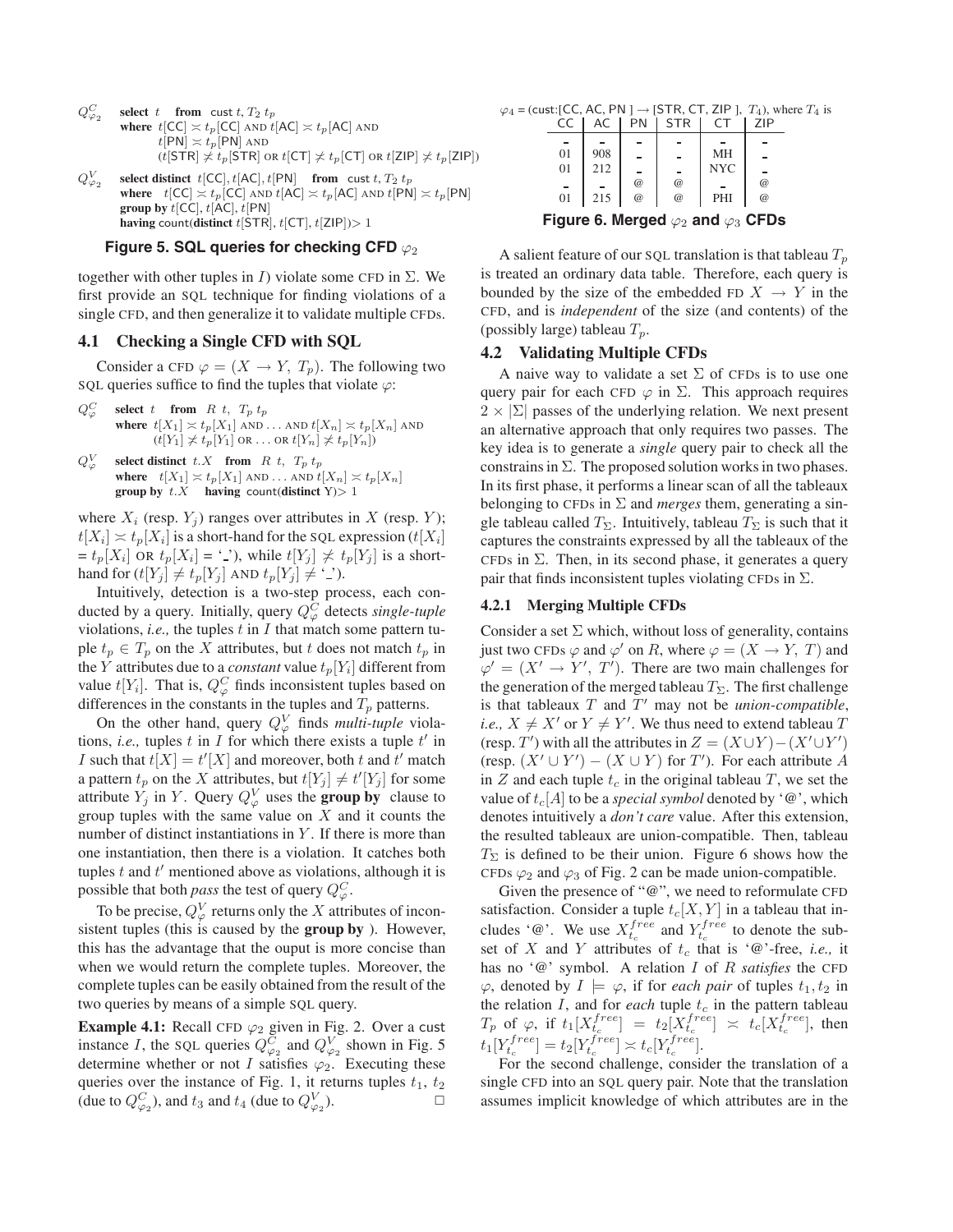- $Q^C_{\varphi}$ **select**  $t$  **from** cust  $t$ ,  $T_2$   $t_p$ **where**  $t[CC] \approx t_p[CC]$  AND  $t[AC] \approx t_p[AC]$  AND  $t$ [PN]  $\asymp t_p$ [PN] AND  $(t[STR] \nless t_p[STR]$  OR  $t[CT] \nless t_p[CT]$  OR  $t[ZIP] \nless t_p[ZIP]$ )  $Q_{\varphi_2}^V$ **select distinct**  $t[CC]$ ,  $t[AC]$ ,  $t[PN]$  **from** cust  $t$ ,  $T_2$   $t_p$
- **where**  $t[CC] \n\asymp t_p[CC]$  AND  $t[AC] \n\asymp t_p[AC]$  AND  $t[PN] \n\asymp t_p[PN]$ **group by**  $t[CC]$ ,  $t[AC]$ ,  $t[PN]$ **having** count(**distinct** t[STR], t[CT], t[ZIP])> 1

# Figure 5. SQL queries for checking CFD  $\varphi_2$

together with other tuples in I) violate some CFD in  $\Sigma$ . We first provide an SQL technique for finding violations of a single CFD, and then generalize it to validate multiple CFDs.

# **4.1 Checking a Single CFD with SQL**

Consider a CFD  $\varphi = (X \rightarrow Y, T_p)$ . The following two SQL queries suffice to find the tuples that violate  $\varphi$ :

- $Q^C_{\alpha}$ **select** t **from** R t,  $T_p t_p$ **where**  $t[X_1] \asymp t_p[X_1]$  AND ... AND  $t[X_n] \asymp t_p[X_n]$  AND  $(t[Y_1] \not\asymp t_p[Y_1]$  OR ... OR  $t[Y_n] \not\asymp t_p[Y_n])$
- $Q^V_{\alpha}$ select distinct  $t.X$  **from** R  $t$ ,  $T_p t_p$ **where**  $t[X_1] \simeq t_p[X_1]$  AND ... AND  $t[X_n] \simeq t_p[X_n]$ **group by**  $t.X$  **having** count(**distinct** Y) $> 1$

where  $X_i$  (resp.  $Y_i$ ) ranges over attributes in X (resp. Y);  $t[X_i] \approx t_p[X_i]$  is a short-hand for the SQL expression  $(t[X_i])$  $t_p[X_i]$  OR  $t_p[X_i] = '$ ), while  $t[Y_j] \not\asymp t_p[Y_j]$  is a shorthand for  $(t[Y_j] \neq t_p[Y_j]$  AND  $t_p[Y_j] \neq \cdot \cdot \cdot$ ).

Intuitively, detection is a two-step process, each conducted by a query. Initially, query  $Q_{\varphi}^{\overline{C}}$  detects *single-tuple* violations, *i.e.*, the tuples  $t$  in  $I$  that match some pattern tuple  $t_p \in T_p$  on the X attributes, but t does not match  $t_p$  in the Y attributes due to a *constant* value  $t_p[Y_i]$  different from value  $t[Y_i]$ . That is,  $Q_{\varphi}^C$  finds inconsistent tuples based on differences in the constants in the tuples and  $T_p$  patterns.

On the other hand, query  $Q_{\varphi}^{V}$  finds *multi-tuple* violations, *i.e.*, tuples  $t$  in  $\overline{I}$  for which there exists a tuple  $t'$  in I such that  $t[X] = t'[X]$  and moreover, both t and t' match a pattern  $t_p$  on the X attributes, but  $t[Y_j] \neq t'[Y_j]$  for some attribute  $Y_j$  in Y. Query  $Q_{\varphi}^V$  uses the **group by** clause to group tuples with the same value on  $X$  and it counts the number of distinct instantiations in  $Y$ . If there is more than one instantiation, then there is a violation. It catches both tuples  $t$  and  $t'$  mentioned above as violations, although it is possible that both *pass* the test of query  $Q_{\varphi}^C$ .

To be precise,  $Q_{\varphi}^{V}$  returns only the X attributes of inconsistent tuples (this is caused by the **group by** ). However, this has the advantage that the ouput is more concise than when we would return the complete tuples. Moreover, the complete tuples can be easily obtained from the result of the two queries by means of a simple SQL query.

**Example 4.1:** Recall CFD  $\varphi_2$  given in Fig. 2. Over a cust instance *I*, the SQL queries  $Q_{\varphi_2}^{\overline{C}}$  and  $Q_{\varphi_2}^{\overline{V}}$  shown in Fig. 5 determine whether or not I satisfies  $\varphi_2$ . Executing these queries over the instance of Fig. 1, it returns tuples  $t_1$ ,  $t_2$ (due to  $Q_{\varphi_2}^C$ ), and  $t_3$  and  $t_4$  (due to  $Q_{\varphi_2}^V$ ).

 $\varphi_4$  = (cust:[CC, AC, PN ]  $\rightarrow$  [STR, CT, ZIP ],  $T_4$ ), where  $T_4$  is <br>CC | AC | PN | STR | CT | ZIP

| $\epsilon$                                        |     | ΡN       | 5 I R    |            | 7 I D    |  |  |  |
|---------------------------------------------------|-----|----------|----------|------------|----------|--|--|--|
|                                                   |     |          |          |            |          |  |  |  |
| 01                                                | 908 |          |          | MH         |          |  |  |  |
| 01                                                | 212 |          |          | <b>NYC</b> |          |  |  |  |
|                                                   |     | $\omega$ | $\omega$ |            | $\omega$ |  |  |  |
| 01                                                | 215 | $\omega$ | $\omega$ | PHI        | $\omega$ |  |  |  |
| Figure 6. Merged $\varphi_2$ and $\varphi_3$ CFDs |     |          |          |            |          |  |  |  |

A salient feature of our SQL translation is that tableau  $T_p$ is treated an ordinary data table. Therefore, each query is bounded by the size of the embedded FD  $X \rightarrow Y$  in the CFD, and is *independent* of the size (and contents) of the (possibly large) tableau  $T_p$ .

## **4.2 Validating Multiple CFDs**

A naive way to validate a set  $\Sigma$  of CFDs is to use one query pair for each CFD  $\varphi$  in  $\Sigma$ . This approach requires  $2 \times |\Sigma|$  passes of the underlying relation. We next present an alternative approach that only requires two passes. The key idea is to generate a *single* query pair to check all the constrains in  $\Sigma$ . The proposed solution works in two phases. In its first phase, it performs a linear scan of all the tableaux belonging to CFDs in  $\Sigma$  and *merges* them, generating a single tableau called  $T_{\Sigma}$ . Intuitively, tableau  $T_{\Sigma}$  is such that it captures the constraints expressed by all the tableaux of the CFDs in  $\Sigma$ . Then, in its second phase, it generates a query pair that finds inconsistent tuples violating CFDs in  $\Sigma$ .

### **4.2.1 Merging Multiple CFDs**

Consider a set  $\Sigma$  which, without loss of generality, contains just two CFDs  $\varphi$  and  $\varphi'$  on R, where  $\varphi = (X \rightarrow Y, T)$  and  $\varphi' = (X' \to Y', T')$ . There are two main challenges for the generation of the merged tableau  $T_{\Sigma}$ . The first challenge is that tableaux  $T$  and  $T'$  may not be *union-compatible*, *i.e.,*  $X \neq X'$  or  $Y \neq Y'$ . We thus need to extend tableau T (resp. T') with all the attributes in  $Z = (X \cup Y) - (X' \cup Y')$ (resp.  $(X' \cup Y') - (X \cup Y)$  for T'). For each attribute A in Z and each tuple  $t_c$  in the original tableau T, we set the value of  $t_c[A]$  to be a *special symbol* denoted by ' $\omega$ ', which denotes intuitively a *don't care* value. After this extension, the resulted tableaux are union-compatible. Then, tableau  $T_{\Sigma}$  is defined to be their union. Figure 6 shows how the CFDs  $\varphi_2$  and  $\varphi_3$  of Fig. 2 can be made union-compatible.

Given the presence of "@", we need to reformulate CFD satisfaction. Consider a tuple  $t_c[X, Y]$  in a tableau that includes ' $\mathcal{Q}$ '. We use  $X_{t_c}^{free}$  and  $Y_{t_c}^{free}$  to denote the subset of X and Y attributes of  $t_c$  that is '@'-free, *i.e.*, it has no '@' symbol. A relation I of R *satisfies* the CFD  $\varphi$ , denoted by  $I \models \varphi$ , if for *each pair* of tuples  $t_1, t_2$  in the relation  $I$ , and for *each* tuple  $t_c$  in the pattern tableau  $T_p$  of  $\varphi$ , if  $t_1[X_{t_c}^{free}] = t_2[X_{t_c}^{free}] \approx t_c[X_{t_c}^{free}]$ , then  $t_1[Y_t^{free}] = t_2[Y_t^{free}] \asymp t_c[Y_t^{free}].$ 

For the second challenge, consider the translation of a single CFD into an SQL query pair. Note that the translation assumes implicit knowledge of which attributes are in the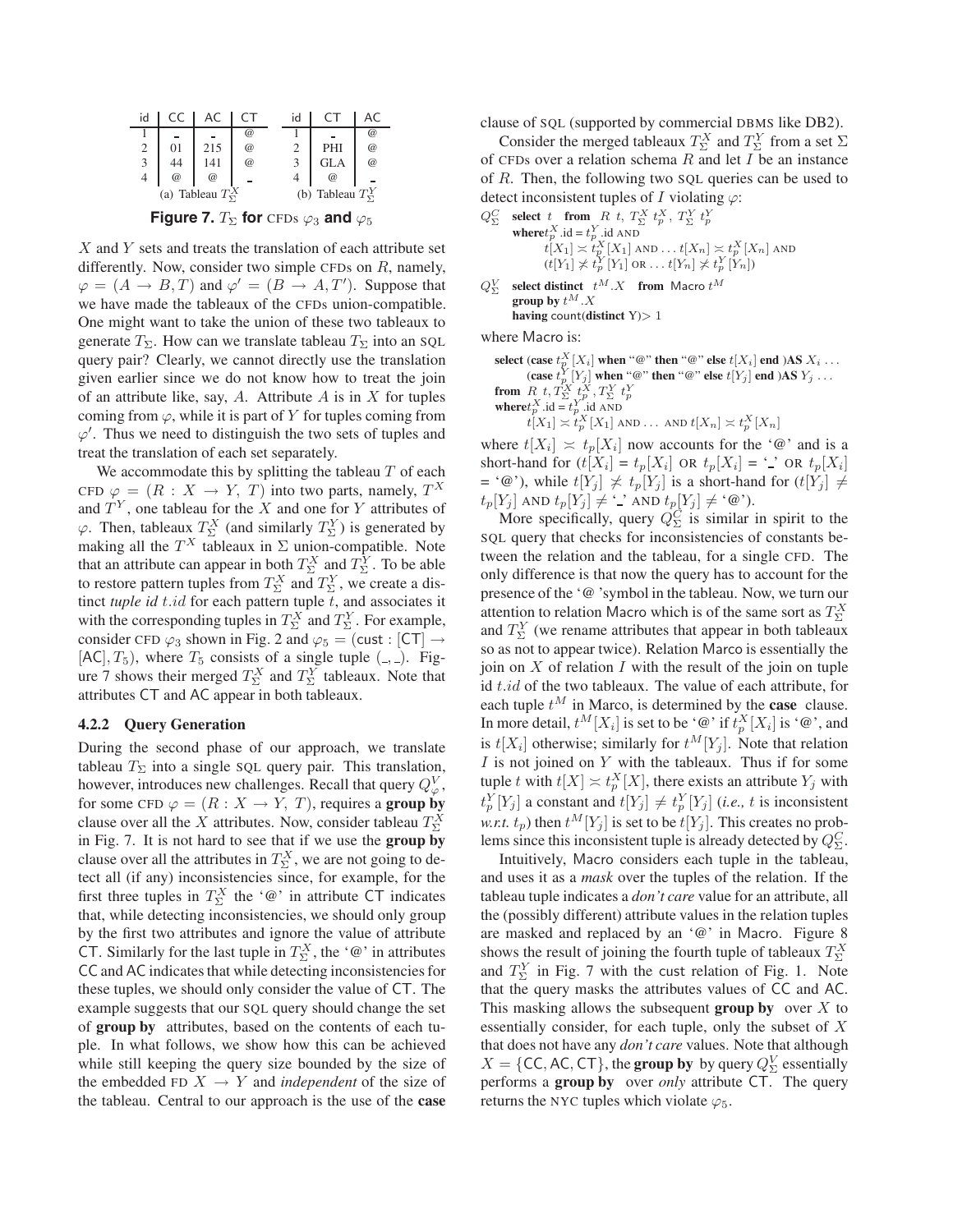| id |             |                            |                                 | id |                            |             |
|----|-------------|----------------------------|---------------------------------|----|----------------------------|-------------|
|    |             |                            | $^{\scriptsize\textregistered}$ |    |                            | $\circleda$ |
| 2  | 01          | 215                        | $\circleda$                     |    | PHI                        | $\circleda$ |
| 3  | 44          | 141                        | $\circleda$                     |    | <b>GLA</b>                 | $\circleda$ |
| 4  | $\circleda$ | $\circleda$                |                                 |    | $\circleda$                |             |
|    |             | (a) Tableau $T_{\Sigma}^X$ |                                 |    | (b) Tableau $T_{\Sigma}^Y$ |             |

**Figure 7.**  $T_{\Sigma}$  for CFDs  $\varphi_3$  and  $\varphi_5$ 

 $X$  and  $Y$  sets and treats the translation of each attribute set differently. Now, consider two simple CFDs on  $R$ , namely,  $\varphi = (A \rightarrow B, T)$  and  $\varphi' = (B \rightarrow A, T')$ . Suppose that we have made the tableaux of the CFDs union-compatible. One might want to take the union of these two tableaux to generate  $T_{\Sigma}$ . How can we translate tableau  $T_{\Sigma}$  into an SQL query pair? Clearly, we cannot directly use the translation given earlier since we do not know how to treat the join of an attribute like, say, A. Attribute A is in X for tuples coming from  $\varphi$ , while it is part of Y for tuples coming from  $\varphi'$ . Thus we need to distinguish the two sets of tuples and treat the translation of each set separately.

We accommodate this by splitting the tableau  $T$  of each CFD  $\varphi = (R : X \to Y, T)$  into two parts, namely,  $T^X$ and  $T<sup>Y</sup>$ , one tableau for the X and one for Y attributes of  $\varphi$ . Then, tableaux  $T_{\Sigma}^{X}$  (and similarly  $T_{\Sigma}^{Y}$ ) is generated by making all the  $T^X$  tableaux in  $\Sigma$  union-compatible. Note that an attribute can appear in both  $T_{\Sigma}^{X}$  and  $T_{\Sigma}^{Y}$ . To be able to restore pattern tuples from  $T_{\Sigma}^{X}$  and  $T_{\Sigma}^{Y}$ , we create a distinct *tuple id* t.id for each pattern tuple t, and associates it with the corresponding tuples in  $T_{\Sigma}^X$  and  $T_{\Sigma}^Y$ . For example, consider CFD  $\varphi_3$  shown in Fig. 2 and  $\varphi_5 =$  (cust : [CT]  $\rightarrow$  $[AC], T_5$ , where  $T_5$  consists of a single tuple  $($ ,  $)$ . Figure 7 shows their merged  $T_{\Sigma}^{X}$  and  $T_{\Sigma}^{Y}$  tableaux. Note that attributes CT and AC appear in both tableaux.

### **4.2.2 Query Generation**

During the second phase of our approach, we translate tableau  $T_{\Sigma}$  into a single SQL query pair. This translation, however, introduces new challenges. Recall that query  $Q^V_{\varphi}$ , for some CFD  $\varphi = (R : X \to Y, T)$ , requires a **group by** clause over all the X attributes. Now, consider tableau  $T_{\Sigma}^{\hat{X}}$ in Fig. 7. It is not hard to see that if we use the **group by** clause over all the attributes in  $T_{\Sigma}^{X}$ , we are not going to detect all (if any) inconsistencies since, for example, for the first three tuples in  $T_2^X$  the '@' in attribute CT indicates<br>that while detecting inconsistencies we should only group that, while detecting inconsistencies, we should only group by the first two attributes and ignore the value of attribute CT. Similarly for the last tuple in  $T_{\Sigma}^{X}$ , the '@' in attributes<br>CC and AC indicates that while detecting inconsistencies for CC and AC indicates that while detecting inconsistencies for these tuples, we should only consider the value of CT. The example suggests that our SQL query should change the set of **group by** attributes, based on the contents of each tuple. In what follows, we show how this can be achieved while still keeping the query size bounded by the size of the embedded FD  $X \rightarrow Y$  and *independent* of the size of the tableau. Central to our approach is the use of the **case** clause of SQL (supported by commercial DBMS like DB2).

Consider the merged tableaux  $T_{\Sigma}^{X}$  and  $T_{\Sigma}^{Y}$  from a set  $\Sigma$ of CFDs over a relation schema  $R$  and let  $I$  be an instance of R. Then, the following two SQL queries can be used to detect inconsistent tuples of I violating  $\varphi$ :

- $Q_{\Sigma}^C$  **select** t **from**  $R$  t,  $T_{\Sigma}^X$   $t_p^X$ ,  $T_{\Sigma}^Y$   $t_p^Y$ **where** $t_p^X$ .id =  $t_p^Y$ .id AND<br>**where** $t_p^X$ .id =  $t_p^Y$ .id AND  $t[X_1] \asymp t_p^X[X_1]$  and  $\ldots$   $t[X_n] \asymp t_p^X[X_n]$  and  $(t[Y_1] \not\asymp t_p^Y[Y_1] \text{ or } \dots t[Y_n] \not\asymp t_p^Y[Y_n])$
- $Q_{\Sigma}^V$ select distinct  $t^M.X$  from Macro  $t^M$ group by  $t^M.\boldsymbol{X}$ **having** count(**distinct** Y)> 1

where Macro is:

select (case  $t_{p}^{X}[X_i]$  when "@" then "@" else  $t[X_i]$  end )AS  $X_i \dots$ (**case**  $t_p^Y[Y_j]$  when "@" **then** "@" **else**  $t[Y_j]$  **end** )AS  $Y_j$  ...

- **from**  $R$   $t$ ,  $T_{\Sigma}^X t_p^X$ ,  $T_{\Sigma}^Y t_p^Y$ <br>where  $t_p^X$  .id =  $t_p^Y$  .id AND
	- $t[X_1] \asymp t_p^X[X_1]$  and ... and  $t[X_n] \asymp t_p^X[X_n]$

where  $t[X_i] \approx t_p[X_i]$  now accounts for the '@' and is a short-hand for  $(t[X_i] = t_p[X_i]$  OR  $t_p[X_i] = '$  OR  $t_p[X_i]$ = '@'), while  $t[Y_j] \not\asymp t_p[Y_j]$  is a short-hand for  $(t[Y_j] \neq$  $t_p[Y_j]$  AND  $t_p[Y_j] \neq \cdot \cdot$  AND  $t_p[Y_j] \neq \cdot \circledcirc$ ).

More specifically, query  $Q_{\Sigma}^{\check{C}}$  is similar in spirit to the SQL query that checks for inconsistencies of constants between the relation and the tableau, for a single CFD. The only difference is that now the query has to account for the presence of the '@ 'symbol in the tableau. Now, we turn our attention to relation Macro which is of the same sort as  $T_2^X$ <br>and  $T_1^Y$  (we rename attributes that appear in both tableaux and  $T_{\Sigma}^{Y}$  (we rename attributes that appear in both tableaux so as not to appear twice). Relation Marco is essentially the join on  $X$  of relation  $I$  with the result of the join on tuple id  $t.id$  of the two tableaux. The value of each attribute, for each tuple  $t^M$  in Marco, is determined by the **case** clause. In more detail,  $t^M[X_i]$  is set to be '@' if  $t_p^X[X_i]$  is '@', and is  $t[X_i]$  otherwise; similarly for  $t^M[Y_j]$ . Note that relation  $I$  is not joined on  $Y$  with the tableaux. Thus if for some tuple t with  $t[X] \asymp t_p^X[X]$ , there exists an attribute  $Y_j$  with  $t_p^Y[Y_j]$  a constant and  $t[Y_j] \neq t_p^Y[Y_j]$  (*i.e.*, *t* is inconsistent *w.r.t.*  $t_p$ ) then  $t^M[Y_j]$  is set to be  $t[Y_j]$ . This creates no problems since this inconsistent tuple is already detected by  $Q_{\Sigma}^C$ .

Intuitively, Macro considers each tuple in the tableau, and uses it as a *mask* over the tuples of the relation. If the tableau tuple indicates a *don't care* value for an attribute, all the (possibly different) attribute values in the relation tuples are masked and replaced by an '@' in Macro. Figure 8 shows the result of joining the fourth tuple of tableaux  $T_{\Sigma}^X$ and  $T_{\Sigma}^{Y}$  in Fig. 7 with the cust relation of Fig. 1. Note<br>that the query masks the attributes values of CC and AC that the query masks the attributes values of CC and AC. This masking allows the subsequent **group by** over  $X$  to essentially consider, for each tuple, only the subset of X that does not have any *don't care* values. Note that although  $X = \{CC, AC, CT\}$ , the **group by** by query  $Q_{\Sigma}^{V}$  essentially<br>performs a **group by** over only attribute  $CT$ . The query performs a **group by** over *only* attribute CT. The query returns the NYC tuples which violate  $\varphi_5$ .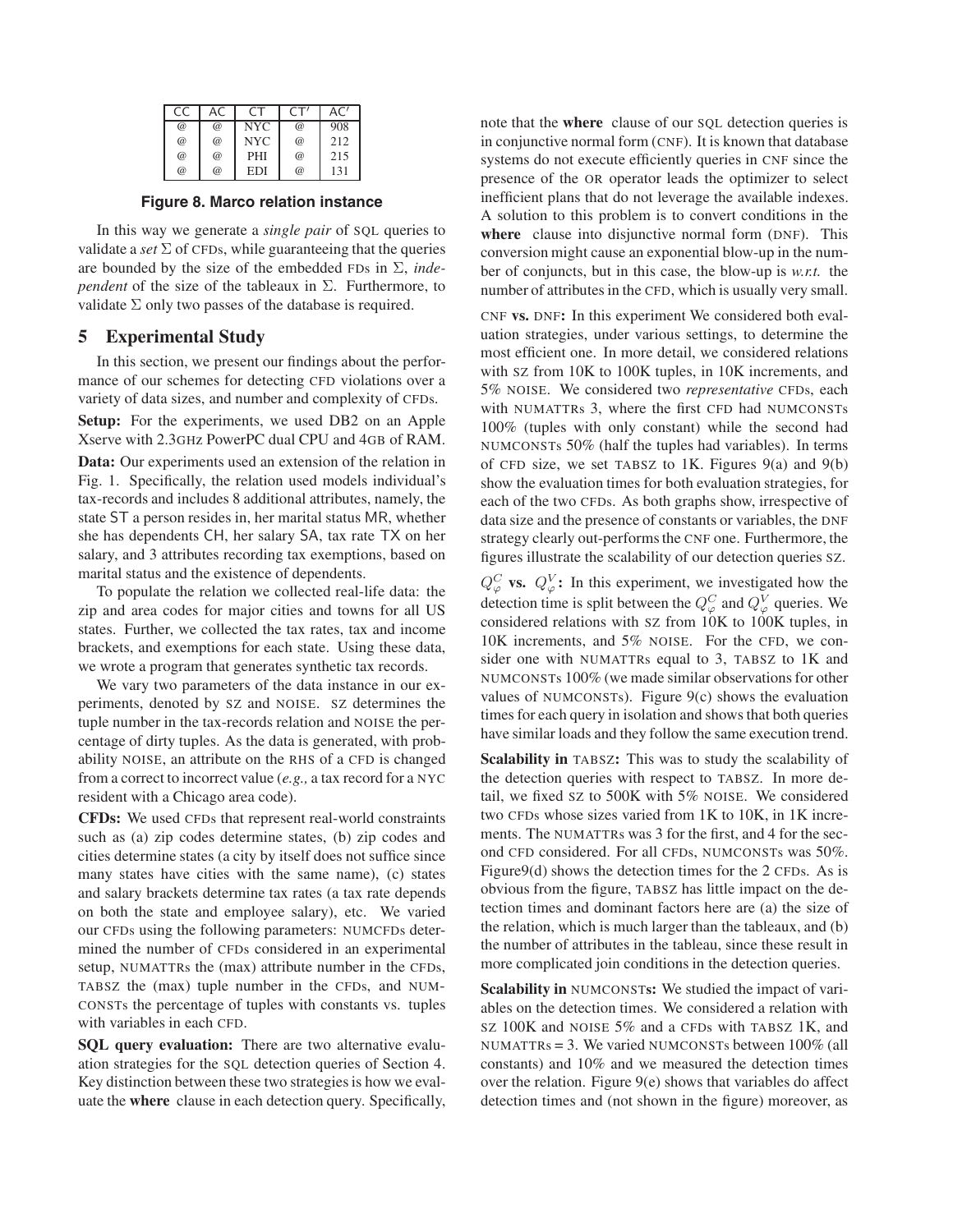| CC          |             |            |            | AC' |
|-------------|-------------|------------|------------|-----|
| $\circleda$ | $\circleda$ | <b>NYC</b> | $^{\circ}$ | 908 |
| $\circleda$ | $\circleda$ | <b>NYC</b> | @          | 212 |
| $\circleda$ | $\circleda$ | PHI        | $^{\circ}$ | 215 |
| @           | $\omega$    | EDI        | @          | 131 |

**Figure 8. Marco relation instance**

In this way we generate a *single pair* of SQL queries to validate a *set*  $\Sigma$  of CFDs, while guaranteeing that the queries are bounded by the size of the embedded FDs in Σ, *independent* of the size of the tableaux in Σ. Furthermore, to validate  $\Sigma$  only two passes of the database is required.

# **5 Experimental Study**

In this section, we present our findings about the performance of our schemes for detecting CFD violations over a variety of data sizes, and number and complexity of CFDs.

**Setup:** For the experiments, we used DB2 on an Apple Xserve with 2.3GHz PowerPC dual CPU and 4GB of RAM.

**Data:** Our experiments used an extension of the relation in Fig. 1. Specifically, the relation used models individual's tax-records and includes 8 additional attributes, namely, the state ST a person resides in, her marital status MR, whether she has dependents CH, her salary SA, tax rate TX on her salary, and 3 attributes recording tax exemptions, based on marital status and the existence of dependents.

To populate the relation we collected real-life data: the zip and area codes for major cities and towns for all US states. Further, we collected the tax rates, tax and income brackets, and exemptions for each state. Using these data, we wrote a program that generates synthetic tax records.

We vary two parameters of the data instance in our experiments, denoted by SZ and NOISE. SZ determines the tuple number in the tax-records relation and NOISE the percentage of dirty tuples. As the data is generated, with probability NOISE, an attribute on the RHS of a CFD is changed from a correct to incorrect value (*e.g.,* a tax record for a NYC resident with a Chicago area code).

**CFDs:** We used CFDs that represent real-world constraints such as (a) zip codes determine states, (b) zip codes and cities determine states (a city by itself does not suffice since many states have cities with the same name), (c) states and salary brackets determine tax rates (a tax rate depends on both the state and employee salary), etc. We varied our CFDs using the following parameters: NUMCFDs determined the number of CFDs considered in an experimental setup, NUMATTRs the (max) attribute number in the CFDs, TABSZ the (max) tuple number in the CFDs, and NUM-CONSTs the percentage of tuples with constants vs. tuples with variables in each CFD.

**SQL query evaluation:** There are two alternative evaluation strategies for the SQL detection queries of Section 4. Key distinction between these two strategies is how we evaluate the **where** clause in each detection query. Specifically, note that the **where** clause of our SQL detection queries is in conjunctive normal form (CNF). It is known that database systems do not execute efficiently queries in CNF since the presence of the OR operator leads the optimizer to select inefficient plans that do not leverage the available indexes. A solution to this problem is to convert conditions in the **where** clause into disjunctive normal form (DNF). This conversion might cause an exponential blow-up in the number of conjuncts, but in this case, the blow-up is *w.r.t.* the number of attributes in the CFD, which is usually very small.

CNF **vs.** DNF**:** In this experiment We considered both evaluation strategies, under various settings, to determine the most efficient one. In more detail, we considered relations with SZ from 10K to 100K tuples, in 10K increments, and 5% NOISE. We considered two *representative* CFDs, each with NUMATTRs 3, where the first CFD had NUMCONSTs 100% (tuples with only constant) while the second had NUMCONSTs 50% (half the tuples had variables). In terms of CFD size, we set TABSZ to 1K. Figures  $9(a)$  and  $9(b)$ show the evaluation times for both evaluation strategies, for each of the two CFDs. As both graphs show, irrespective of data size and the presence of constants or variables, the DNF strategy clearly out-performs the CNF one. Furthermore, the figures illustrate the scalability of our detection queries SZ.

 $Q^C_{\varphi}$  **vs.**  $Q^V_{\varphi}$ : In this experiment, we investigated how the detection time is split between the  $Q_{\varphi}^C$  and  $Q_{\varphi}^V$  queries. We considered relations with SZ from 10K to 100K tuples, in 10K increments, and 5% NOISE. For the CFD, we consider one with NUMATTRs equal to 3, TABSZ to 1K and NUMCONSTs 100% (we made similar observations for other values of NUMCONSTs). Figure 9(c) shows the evaluation times for each query in isolation and shows that both queries have similar loads and they follow the same execution trend.

**Scalability in** TABSZ**:** This was to study the scalability of the detection queries with respect to TABSZ. In more detail, we fixed SZ to 500K with 5% NOISE. We considered two CFDs whose sizes varied from 1K to 10K, in 1K increments. The NUMATTRs was 3 for the first, and 4 for the second CFD considered. For all CFDs, NUMCONSTs was 50%. Figure9(d) shows the detection times for the 2 CFDs. As is obvious from the figure, TABSZ has little impact on the detection times and dominant factors here are (a) the size of the relation, which is much larger than the tableaux, and (b) the number of attributes in the tableau, since these result in more complicated join conditions in the detection queries.

**Scalability in** NUMCONSTs: We studied the impact of variables on the detection times. We considered a relation with SZ 100K and NOISE 5% and a CFDs with TABSZ 1K, and NUMATTRs = 3. We varied NUMCONSTs between 100% (all constants) and 10% and we measured the detection times over the relation. Figure 9(e) shows that variables do affect detection times and (not shown in the figure) moreover, as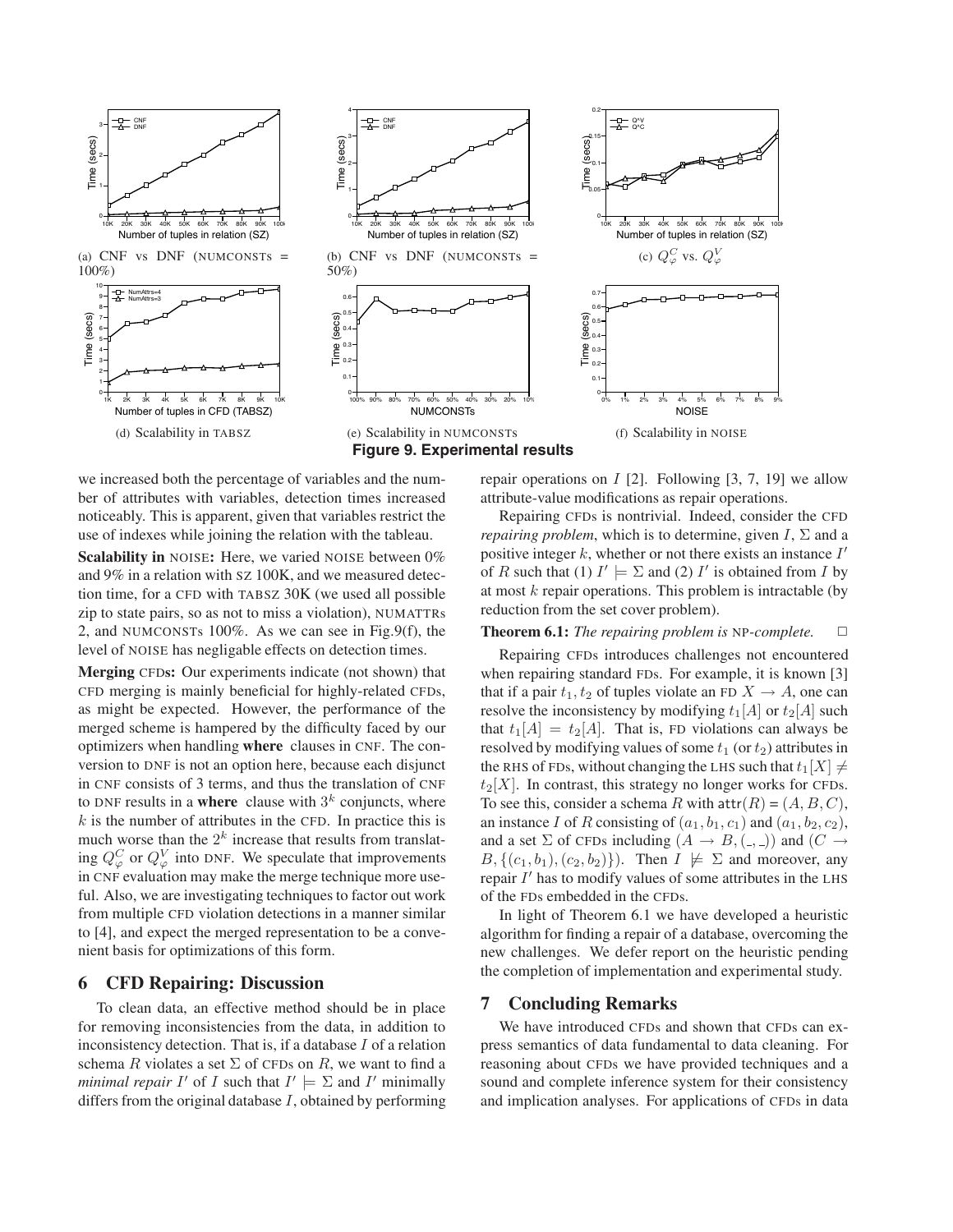

we increased both the percentage of variables and the number of attributes with variables, detection times increased noticeably. This is apparent, given that variables restrict the use of indexes while joining the relation with the tableau.

**Scalability in** NOISE**:** Here, we varied NOISE between 0% and 9% in a relation with SZ 100K, and we measured detection time, for a CFD with TABSZ 30K (we used all possible zip to state pairs, so as not to miss a violation), NUMATTRs 2, and NUMCONSTs 100%. As we can see in Fig.9(f), the level of NOISE has negligable effects on detection times.

**Merging** CFD**s:** Our experiments indicate (not shown) that CFD merging is mainly beneficial for highly-related CFDs, as might be expected. However, the performance of the merged scheme is hampered by the difficulty faced by our optimizers when handling **where** clauses in CNF. The conversion to DNF is not an option here, because each disjunct in CNF consists of 3 terms, and thus the translation of CNF to DNF results in a **where** clause with  $3<sup>k</sup>$  conjuncts, where  $k$  is the number of attributes in the CFD. In practice this is much worse than the  $2^k$  increase that results from translating  $Q_{\varphi}^{C}$  or  $Q_{\varphi}^{V}$  into DNF. We speculate that improvements in CNF evaluation may make the merge technique more useful. Also, we are investigating techniques to factor out work from multiple CFD violation detections in a manner similar to [4], and expect the merged representation to be a convenient basis for optimizations of this form.

# **6 CFD Repairing: Discussion**

To clean data, an effective method should be in place for removing inconsistencies from the data, in addition to inconsistency detection. That is, if a database  $I$  of a relation schema R violates a set  $\Sigma$  of CFDs on R, we want to find a *minimal repair* I' of I such that  $I' \models \Sigma$  and I' minimally differs from the original database  $I$ , obtained by performing repair operations on  $I$  [2]. Following [3, 7, 19] we allow attribute-value modifications as repair operations.

Repairing CFDs is nontrivial. Indeed, consider the CFD *repairing problem*, which is to determine, given  $I$ ,  $\Sigma$  and a positive integer  $k$ , whether or not there exists an instance  $I'$ of R such that (1)  $I' \models \Sigma$  and (2) I' is obtained from I by at most  $k$  repair operations. This problem is intractable (by reduction from the set cover problem).

## **Theorem 6.1:** *The repairing problem is* NP-*complete.*  $\Box$

Repairing CFDs introduces challenges not encountered when repairing standard FDs. For example, it is known [3] that if a pair  $t_1, t_2$  of tuples violate an FD  $X \to A$ , one can resolve the inconsistency by modifying  $t_1[A]$  or  $t_2[A]$  such that  $t_1[A] = t_2[A]$ . That is, FD violations can always be resolved by modifying values of some  $t_1$  (or  $t_2$ ) attributes in the RHS of FDs, without changing the LHS such that  $t_1[X] \neq$  $t_2[X]$ . In contrast, this strategy no longer works for CFDs. To see this, consider a schema R with  $\text{attr}(R) = (A, B, C)$ , an instance I of R consisting of  $(a_1, b_1, c_1)$  and  $(a_1, b_2, c_2)$ , and a set  $\Sigma$  of CFDs including  $(A \rightarrow B, (\underline{\ } , \underline{\ }) )$  and  $(C \rightarrow$  $B, \{(c_1, b_1), (c_2, b_2)\}\)$ . Then  $I \not\models \Sigma$  and moreover, any repair  $I'$  has to modify values of some attributes in the LHS of the FDs embedded in the CFDs.

In light of Theorem 6.1 we have developed a heuristic algorithm for finding a repair of a database, overcoming the new challenges. We defer report on the heuristic pending the completion of implementation and experimental study.

## **7 Concluding Remarks**

We have introduced CFDs and shown that CFDs can express semantics of data fundamental to data cleaning. For reasoning about CFDs we have provided techniques and a sound and complete inference system for their consistency and implication analyses. For applications of CFDs in data